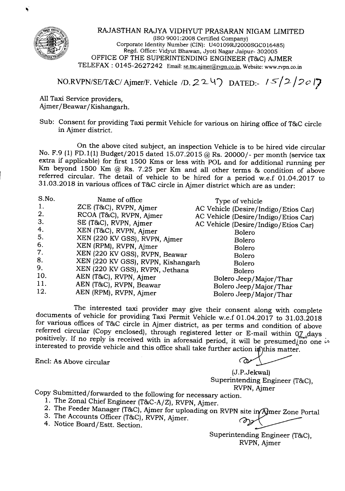

RAJASTHAN RAJYA VIDHYUT PRASARAN NIGAM LIMITED (ISO9001:2008 Certified Company) Corporate Identity Number (CIN): U40109RJ2000SGC016485) Regd. Office: Vidyut Bhawan, Jyoti Nagar Jaipur- 302005 OFFICE OF THE SUPERINTENDING ENGINEER (T&C) AJMER TELEFAX: 0145-2627242 Email: se.tnc.ajmer@rypn.co.in, Website: www.rvpn.co.in

# *NO.RVPN/SE/T&C/* Ajmer/F. Vehicle */D.* 2 2 <sup>4</sup>) DATED:-  $/5/2/2c$  /7

AllTaxi Service providers, Ajmer/Beawar /Kishangarh.

Sub: Consent for providing Taxi permit Vehicle for various on hiring office of T&C circle in Ajmer district.

On the above cited subject, an inspection Vehicle is to be hired vide circular No. F.9 (1)FD.1(1) Budget/2015 dated 15.07.2015 @ Rs. 20000/- per month (service tax extra if applicable) for first 1500 Kms or less with POL and for additional running per Km beyond 1500 Km @ Rs. 7.25 per Km and all other terms & condition of above referred circular. The detail of vehicle to be hired for a period w.e.f 01.04.2017 to 31.03.2018 in various offices ofT&C circle in Ajmer district which are as under:

| S.No. | Name of office                     | Type of vehicle                      |
|-------|------------------------------------|--------------------------------------|
| 1.    | ZCE (T&C), RVPN, Ajmer             | AC Vehicle (Desire/Indigo/Etios Car) |
| 2.    | RCOA (T&C), RVPN, Ajmer            | AC Vehicle (Desire/Indigo/Etios Car) |
| 3.    | SE (T&C), RVPN, Ajmer              | AC Vehicle (Desire/Indigo/Etios Car) |
| 4.    | XEN (T&C), RVPN, Ajmer             | <b>Bolero</b>                        |
| 5.    | XEN (220 KV GSS), RVPN, Ajmer      | <b>Bolero</b>                        |
| 6.    | XEN (RPM), RVPN, Ajmer             | <b>Bolero</b>                        |
| 7.    | XEN (220 KV GSS), RVPN, Beawar     | Bolero                               |
| 8.    | XEN (220 KV GSS), RVPN, Kishangarh | <b>Bolero</b>                        |
| 9.    | XEN (220 KV GSS), RVPN, Jethana    | Bolero                               |
| 10.   | AEN (T&C), RVPN, Ajmer             | Bolero Jeep/Major/Thar               |
| 11.   | AEN (T&C), RVPN, Beawar            | Bolero Jeep/Major/Thar               |
| 12.   | AEN (RPM), RVPN, Ajmer             | Bolero Jeep/Major/Thar               |

The interested taxi provider may give their consent along with complete documents of vehicle for providing Taxi Permit Vehicle w.e.f 01.04.2017 to 31.03.2018 for various offices of T&C circle in Ajmer district, as per terms and condition of above referred circular (Copy enclosed), through registered letter or E-mail within  $Q_{\lambda+}$ days. positively. If no reply is received with in aforesaid period, it will be presumed/no one  $\sim$ interested to provide vehicle and this office shall take further action in this matter.

Encl: As Above circular ~

(J.P.Jekwal) Superintending Engineer (T&C), RVPN,Ajmer

Copy Submitted/forwarded to the following for necessary action.

- 1. The Zonal Chief Engineer (T&C-A/Z), RVPN, Ajmer.
- 2. The Feeder Manager (T&C), Ajmer for uploading on RVPN site in Ajmer Zone Portal
- 3. The Accounts Officer (T&C), RVPN, Ajmer.  $\bigcirc$  on  $\bigcirc$ 3. The Accounts Officer (T&C), RVPN, Ajmer.<br>4. Notice Board/Estt. Section.
- 

Superintending Engineer (T&C), RVPN, Ajmer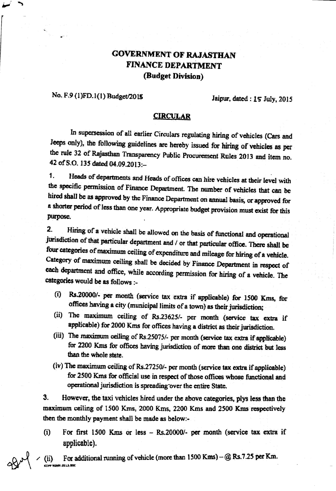## **GOVERNMENT OF RAJASTHAN** FINANCE DEPARTMENT (Budget Division)

### No. F.9 (1)FD.1(1) Budget/2015

Jaipur, dated : 15 July, 2015

#### **CIRCULAR**

In supersession of all earlier Circulars regulating hiring of vehicles (Cars and Jeeps only), the following guidelines are hereby issued for hiring of vehicles as per the rule 32 of Rajasthan Transparency Public Procurement Rules 2013 and item no. 42 of S.O. 135 dated 04.09.2013:-

Heads of departments and Heads of offices can hire vehicles at their level with  $\mathbf{1}$ . the specific permission of Finance Department. The number of vehicles that can be hired shall be as approved by the Finance Department on annual basis, or approved for a shorter period of less than one year. Appropriate budget provision must exist for this purpose.

 $\overline{2}$ . Hiring of a vehicle shall be allowed on the basis of functional and operational jurisdiction of that particular department and / or that particular office. There shall be four categories of maximum ceiling of expenditure and mileage for hiring of a vehicle. Category of maximum ceiling shall be decided by Finance Department in respect of each department and office, while according permission for hiring of a vehicle. The categories would be as follows :-

- (i) Rs.20000/- per month (service tax extra if applicable) for 1500 Kms, for offices having a city (municipal limits of a town) as their jurisdiction;
- (ii) The maximum ceiling of Rs.23625/- per month (service tax extra if applicable) for 2000 Kms for offices having a district as their jurisdiction.
- (iii) The maximum ceiling of Rs.25075/- per month (service tax extra if applicable) for 2200 Kms for offices having jurisdiction of more than one district but less than the whole state.
- (iv) The maximum ceiling of Rs.27250/- per month (service tax extra if applicable) for 2500 Kms for official use in respect of those offices whose functional and operational jurisdiction is spreading over the entire State.

3. However, the taxi vehicles hired under the above categories, plys less than the maximum ceiling of 1500 Kms, 2000 Kms, 2200 Kms and 2500 Kms respectively then the monthly payment shall be made as below.-

 $(i)$ For first 1500 Kms or less - Rs.20000/- per month (service tax extra if applicable).

For additional running of vehicle (more than 1500 Kms) - @ Rs.7.25 per Km.  $(ii)$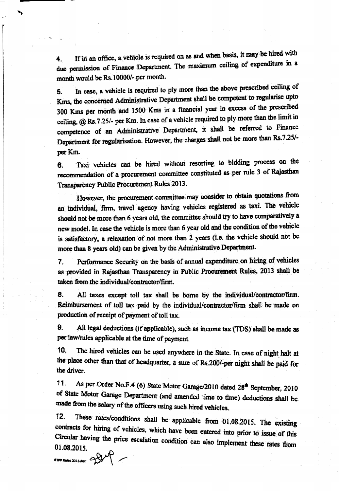If in an office, a vehicle is required on as and when basis, it may be hired with 4. due permission of Finance Department. The maximum ceiling of expenditure in a month would be Rs. 10000/- per month.

In case, a vehicle is required to ply more than the above prescribed ceiling of 5. Kms, the concerned Administrative Department shall be competent to regularise upto 300 Kms per month and 1500 Kms in a financial year in excess of the prescribed ceiling, @ Rs.7.25/- per Km. In case of a vehicle required to ply more than the limit in competence of an Administrative Department, it shall be referred to Finance Department for regularisation. However, the charges shall not be more than Rs.7.25/per Km.

Taxi vehicles can be hired without resorting to bidding process on the 6. recommendation of a procurement committee constituted as per rule 3 of Rajasthan Transparency Public Procurement Rules 2013.

However, the procurement committee may consider to obtain quotations from an individual, firm, travel agency having vehicles registered as taxi. The vehicle should not be more than 6 years old, the committee should try to have comparatively a new model. In case the vehicle is more than 6 year old and the condition of the vehicle is satisfactory, a relaxation of not more than 2 years (i.e. the vehicle should not be more than 8 years old) can be given by the Administrative Department.

Performance Security on the basis of annual expenditure on hiring of vehicles  $\overline{7}$ . as provided in Rajasthan Transparency in Public Procurement Rules, 2013 shall be taken from the individual/contractor/firm.

8. All taxes except toll tax shall be borne by the individual/contractor/firm. Reimbursement of toll tax paid by the individual/contractor/firm shall be made on production of receipt of payment of toll tax.

9. All legal deductions (if applicable), such as income tax (TDS) shall be made as per law/rules applicable at the time of payment.

The hired vehicles can be used anywhere in the State. In case of night halt at 10. the place other than that of headquarter, a sum of Rs.200/-per night shall be paid for the driver.

 $11.$ As per Order No.F.4 (6) State Motor Garage/2010 dated 28<sup>th</sup> September, 2010 of State Motor Garage Department (and amended time to time) deductions shall be made from the salary of the officers using such hired vehicles.

These rates/conditions shall be applicable from 01.08.2015. The existing  $12.$ contracts for hiring of vehicles, which have been entered into prior to issue of this Circular having the price escalation condition can also implement these rates from 01.08.2015.